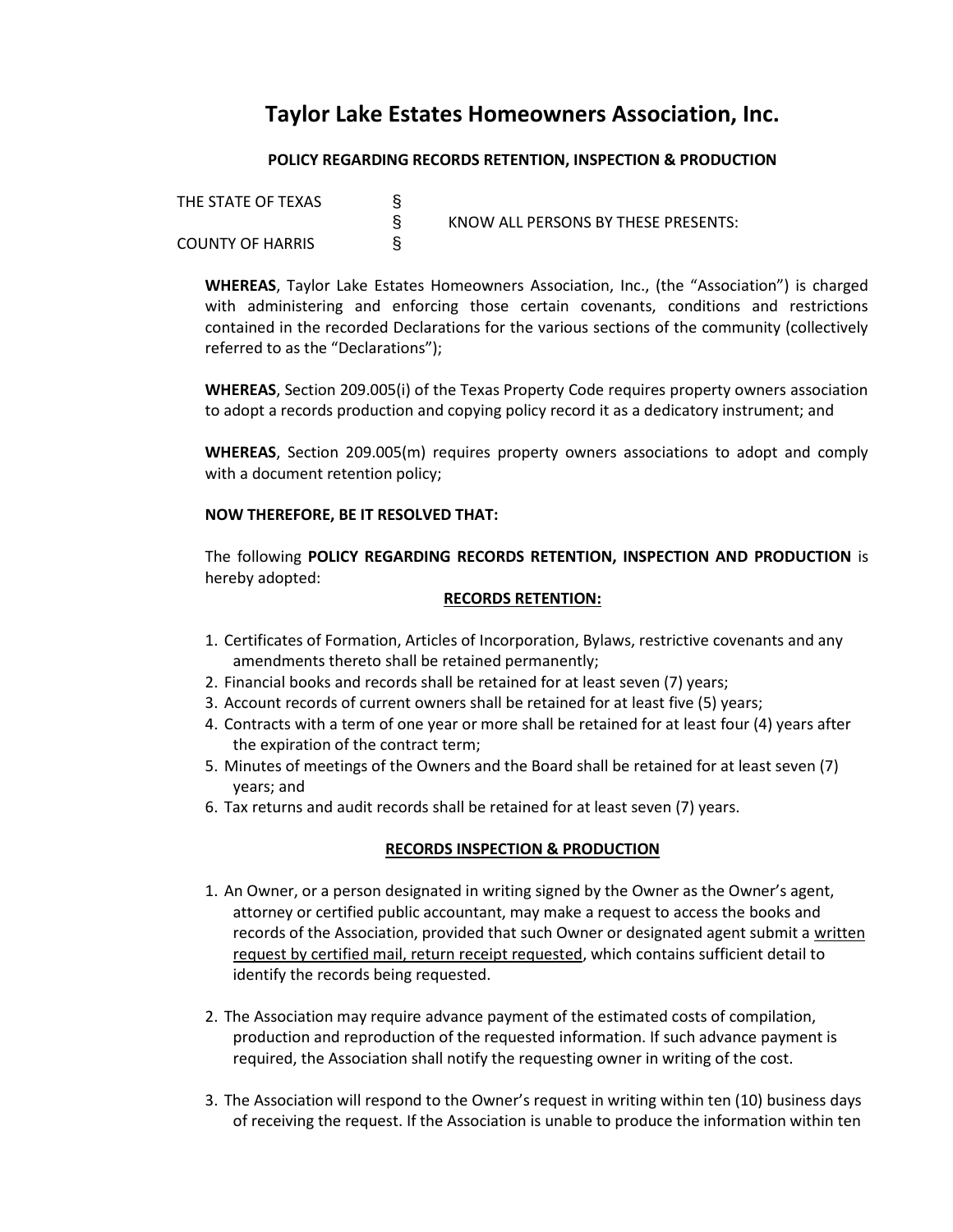# **Taylor Lake Estates Homeowners Association, Inc.**

## **POLICY REGARDING RECORDS RETENTION, INSPECTION & PRODUCTION**

| THE STATE OF TEXAS      | KNOW ALL PERSONS BY THESE PRESENTS: |
|-------------------------|-------------------------------------|
| <b>COUNTY OF HARRIS</b> |                                     |

**WHEREAS**, Taylor Lake Estates Homeowners Association, Inc., (the "Association") is charged with administering and enforcing those certain covenants, conditions and restrictions contained in the recorded Declarations for the various sections of the community (collectively referred to as the "Declarations");

**WHEREAS**, Section 209.005(i) of the Texas Property Code requires property owners association to adopt a records production and copying policy record it as a dedicatory instrument; and

**WHEREAS**, Section 209.005(m) requires property owners associations to adopt and comply with a document retention policy;

### **NOW THEREFORE, BE IT RESOLVED THAT:**

The following **POLICY REGARDING RECORDS RETENTION, INSPECTION AND PRODUCTION** is hereby adopted:

#### **RECORDS RETENTION:**

- 1. Certificates of Formation, Articles of Incorporation, Bylaws, restrictive covenants and any amendments thereto shall be retained permanently;
- 2. Financial books and records shall be retained for at least seven (7) years;
- 3. Account records of current owners shall be retained for at least five (5) years;
- 4. Contracts with a term of one year or more shall be retained for at least four (4) years after the expiration of the contract term;
- 5. Minutes of meetings of the Owners and the Board shall be retained for at least seven (7) years; and
- 6. Tax returns and audit records shall be retained for at least seven (7) years.

### **RECORDS INSPECTION & PRODUCTION**

- 1. An Owner, or a person designated in writing signed by the Owner as the Owner's agent, attorney or certified public accountant, may make a request to access the books and records of the Association, provided that such Owner or designated agent submit a written request by certified mail, return receipt requested, which contains sufficient detail to identify the records being requested.
- 2. The Association may require advance payment of the estimated costs of compilation, production and reproduction of the requested information. If such advance payment is required, the Association shall notify the requesting owner in writing of the cost.
- 3. The Association will respond to the Owner's request in writing within ten (10) business days of receiving the request. If the Association is unable to produce the information within ten